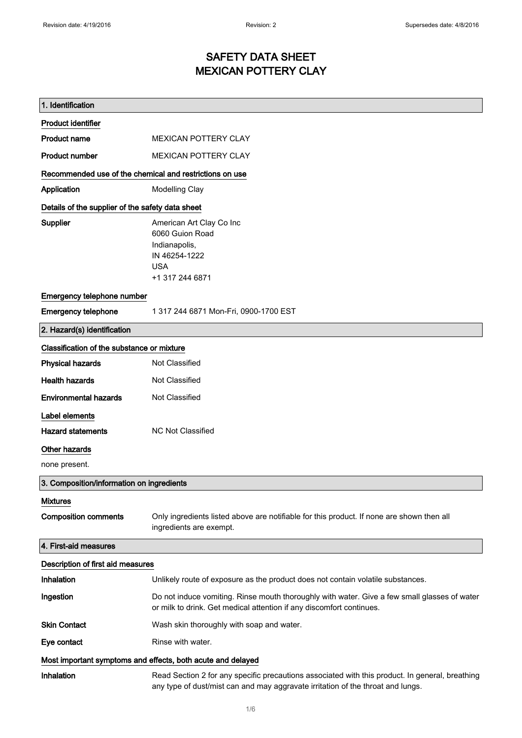$\mathsf{r}$ 

### SAFETY DATA SHEET MEXICAN POTTERY CLAY

| 1. Identification                                           |                                                                                                                                                                                    |  |
|-------------------------------------------------------------|------------------------------------------------------------------------------------------------------------------------------------------------------------------------------------|--|
| <b>Product identifier</b>                                   |                                                                                                                                                                                    |  |
| <b>Product name</b>                                         | <b>MEXICAN POTTERY CLAY</b>                                                                                                                                                        |  |
| <b>Product number</b>                                       | <b>MEXICAN POTTERY CLAY</b>                                                                                                                                                        |  |
| Recommended use of the chemical and restrictions on use     |                                                                                                                                                                                    |  |
| Application                                                 | <b>Modelling Clay</b>                                                                                                                                                              |  |
| Details of the supplier of the safety data sheet            |                                                                                                                                                                                    |  |
| Supplier                                                    | American Art Clay Co Inc<br>6060 Guion Road<br>Indianapolis,<br>IN 46254-1222<br><b>USA</b><br>+1 317 244 6871                                                                     |  |
| Emergency telephone number                                  |                                                                                                                                                                                    |  |
| <b>Emergency telephone</b>                                  | 1 317 244 6871 Mon-Fri, 0900-1700 EST                                                                                                                                              |  |
| 2. Hazard(s) identification                                 |                                                                                                                                                                                    |  |
| Classification of the substance or mixture                  |                                                                                                                                                                                    |  |
| <b>Physical hazards</b>                                     | Not Classified                                                                                                                                                                     |  |
| <b>Health hazards</b>                                       | Not Classified                                                                                                                                                                     |  |
| <b>Environmental hazards</b>                                | Not Classified                                                                                                                                                                     |  |
| Label elements                                              |                                                                                                                                                                                    |  |
| <b>Hazard statements</b>                                    | <b>NC Not Classified</b>                                                                                                                                                           |  |
| Other hazards                                               |                                                                                                                                                                                    |  |
| none present.                                               |                                                                                                                                                                                    |  |
| 3. Composition/information on ingredients                   |                                                                                                                                                                                    |  |
| <b>Mixtures</b>                                             |                                                                                                                                                                                    |  |
| <b>Composition comments</b>                                 | Only ingredients listed above are notifiable for this product. If none are shown then all<br>ingredients are exempt.                                                               |  |
| 4. First-aid measures                                       |                                                                                                                                                                                    |  |
| Description of first aid measures                           |                                                                                                                                                                                    |  |
| Inhalation                                                  | Unlikely route of exposure as the product does not contain volatile substances.                                                                                                    |  |
| Ingestion                                                   | Do not induce vomiting. Rinse mouth thoroughly with water. Give a few small glasses of water<br>or milk to drink. Get medical attention if any discomfort continues.               |  |
| <b>Skin Contact</b>                                         | Wash skin thoroughly with soap and water.                                                                                                                                          |  |
| Eye contact                                                 | Rinse with water.                                                                                                                                                                  |  |
| Most important symptoms and effects, both acute and delayed |                                                                                                                                                                                    |  |
| Inhalation                                                  | Read Section 2 for any specific precautions associated with this product. In general, breathing<br>any type of dust/mist can and may aggravate irritation of the throat and lungs. |  |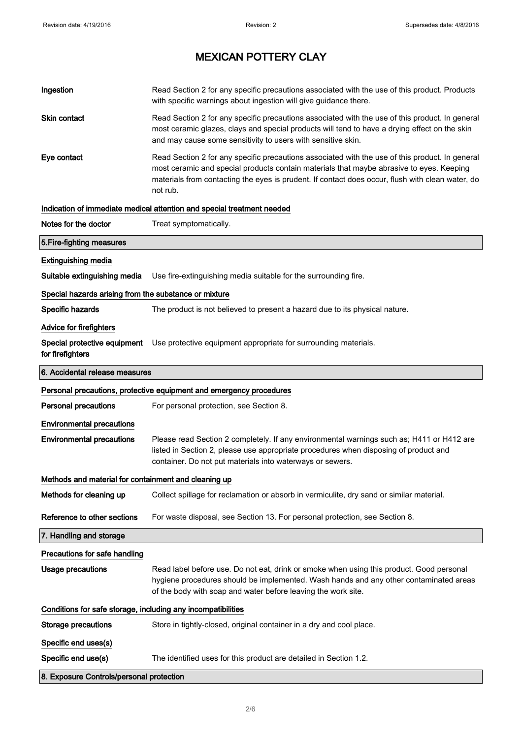| Ingestion                                                    | Read Section 2 for any specific precautions associated with the use of this product. Products<br>with specific warnings about ingestion will give guidance there.                                                                                                                                           |  |
|--------------------------------------------------------------|-------------------------------------------------------------------------------------------------------------------------------------------------------------------------------------------------------------------------------------------------------------------------------------------------------------|--|
| <b>Skin contact</b>                                          | Read Section 2 for any specific precautions associated with the use of this product. In general<br>most ceramic glazes, clays and special products will tend to have a drying effect on the skin<br>and may cause some sensitivity to users with sensitive skin.                                            |  |
| Eye contact                                                  | Read Section 2 for any specific precautions associated with the use of this product. In general<br>most ceramic and special products contain materials that maybe abrasive to eyes. Keeping<br>materials from contacting the eyes is prudent. If contact does occur, flush with clean water, do<br>not rub. |  |
|                                                              | Indication of immediate medical attention and special treatment needed                                                                                                                                                                                                                                      |  |
| Notes for the doctor                                         | Treat symptomatically.                                                                                                                                                                                                                                                                                      |  |
| 5. Fire-fighting measures                                    |                                                                                                                                                                                                                                                                                                             |  |
| <b>Extinguishing media</b>                                   |                                                                                                                                                                                                                                                                                                             |  |
| Suitable extinguishing media                                 | Use fire-extinguishing media suitable for the surrounding fire.                                                                                                                                                                                                                                             |  |
| Special hazards arising from the substance or mixture        |                                                                                                                                                                                                                                                                                                             |  |
| Specific hazards                                             | The product is not believed to present a hazard due to its physical nature.                                                                                                                                                                                                                                 |  |
| Advice for firefighters                                      |                                                                                                                                                                                                                                                                                                             |  |
| Special protective equipment<br>for firefighters             | Use protective equipment appropriate for surrounding materials.                                                                                                                                                                                                                                             |  |
| 6. Accidental release measures                               |                                                                                                                                                                                                                                                                                                             |  |
|                                                              | Personal precautions, protective equipment and emergency procedures                                                                                                                                                                                                                                         |  |
| <b>Personal precautions</b>                                  | For personal protection, see Section 8.                                                                                                                                                                                                                                                                     |  |
| <b>Environmental precautions</b>                             |                                                                                                                                                                                                                                                                                                             |  |
| <b>Environmental precautions</b>                             | Please read Section 2 completely. If any environmental warnings such as; H411 or H412 are<br>listed in Section 2, please use appropriate procedures when disposing of product and<br>container. Do not put materials into waterways or sewers.                                                              |  |
| Methods and material for containment and cleaning up         |                                                                                                                                                                                                                                                                                                             |  |
| Methods for cleaning up                                      | Collect spillage for reclamation or absorb in vermiculite, dry sand or similar material.                                                                                                                                                                                                                    |  |
| Reference to other sections                                  | For waste disposal, see Section 13. For personal protection, see Section 8.                                                                                                                                                                                                                                 |  |
| 7. Handling and storage                                      |                                                                                                                                                                                                                                                                                                             |  |
| Precautions for safe handling                                |                                                                                                                                                                                                                                                                                                             |  |
| <b>Usage precautions</b>                                     | Read label before use. Do not eat, drink or smoke when using this product. Good personal<br>hygiene procedures should be implemented. Wash hands and any other contaminated areas<br>of the body with soap and water before leaving the work site.                                                          |  |
| Conditions for safe storage, including any incompatibilities |                                                                                                                                                                                                                                                                                                             |  |
| <b>Storage precautions</b>                                   | Store in tightly-closed, original container in a dry and cool place.                                                                                                                                                                                                                                        |  |
| Specific end uses(s)                                         |                                                                                                                                                                                                                                                                                                             |  |
| Specific end use(s)                                          | The identified uses for this product are detailed in Section 1.2.                                                                                                                                                                                                                                           |  |
| 8. Exposure Controls/personal protection                     |                                                                                                                                                                                                                                                                                                             |  |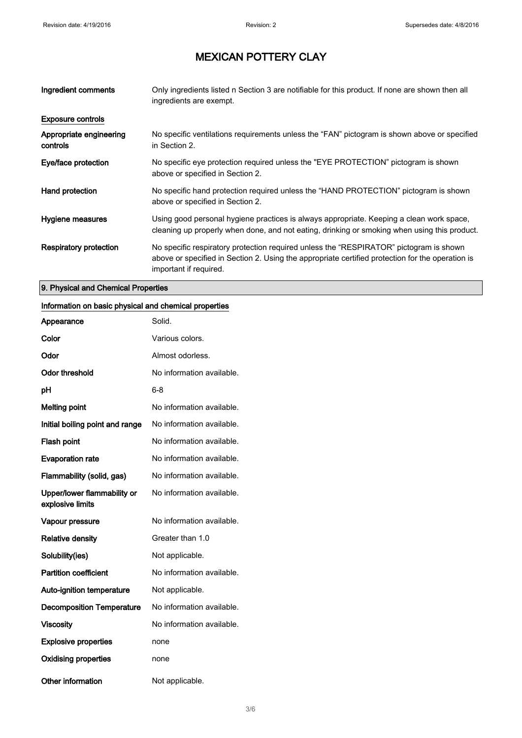| Ingredient comments                 | Only ingredients listed n Section 3 are notifiable for this product. If none are shown then all<br>ingredients are exempt.                                                                                           |
|-------------------------------------|----------------------------------------------------------------------------------------------------------------------------------------------------------------------------------------------------------------------|
| <b>Exposure controls</b>            |                                                                                                                                                                                                                      |
| Appropriate engineering<br>controls | No specific ventilations requirements unless the "FAN" pictogram is shown above or specified<br>in Section 2.                                                                                                        |
| Eye/face protection                 | No specific eye protection required unless the "EYE PROTECTION" pictogram is shown<br>above or specified in Section 2.                                                                                               |
| Hand protection                     | No specific hand protection required unless the "HAND PROTECTION" pictogram is shown<br>above or specified in Section 2.                                                                                             |
| Hygiene measures                    | Using good personal hygiene practices is always appropriate. Keeping a clean work space,<br>cleaning up properly when done, and not eating, drinking or smoking when using this product.                             |
| Respiratory protection              | No specific respiratory protection required unless the "RESPIRATOR" pictogram is shown<br>above or specified in Section 2. Using the appropriate certified protection for the operation is<br>important if required. |

### 9. Physical and Chemical Properties

#### Information on basic physical and chemical properties

| Appearance                                      | Solid.                    |
|-------------------------------------------------|---------------------------|
| Color                                           | Various colors.           |
| Odor                                            | Almost odorless.          |
| <b>Odor threshold</b>                           | No information available. |
| рH                                              | 6-8                       |
| <b>Melting point</b>                            | No information available. |
| Initial boiling point and range                 | No information available. |
| <b>Flash point</b>                              | No information available. |
| <b>Evaporation rate</b>                         | No information available. |
| Flammability (solid, gas)                       | No information available. |
| Upper/lower flammability or<br>explosive limits | No information available. |
| Vapour pressure                                 | No information available. |
| <b>Relative density</b>                         | Greater than 1.0          |
| Solubility(ies)                                 | Not applicable.           |
| <b>Partition coefficient</b>                    | No information available. |
| <b>Auto-ignition temperature</b>                | Not applicable.           |
| <b>Decomposition Temperature</b>                | No information available. |
| Viscosity                                       | No information available. |
| <b>Explosive properties</b>                     | none                      |
| <b>Oxidising properties</b>                     | none                      |
| Other information                               | Not applicable.           |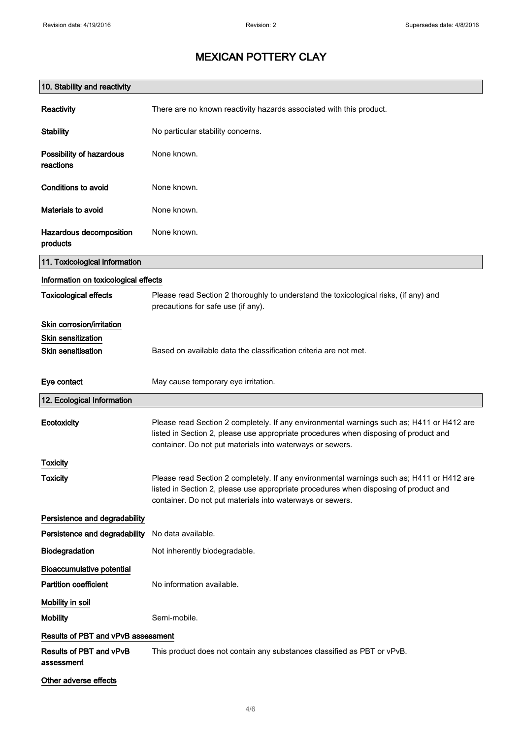| 10. Stability and reactivity          |                                                                                                                                                                                                                                                |
|---------------------------------------|------------------------------------------------------------------------------------------------------------------------------------------------------------------------------------------------------------------------------------------------|
| Reactivity                            | There are no known reactivity hazards associated with this product.                                                                                                                                                                            |
| <b>Stability</b>                      | No particular stability concerns.                                                                                                                                                                                                              |
| Possibility of hazardous<br>reactions | None known.                                                                                                                                                                                                                                    |
| Conditions to avoid                   | None known.                                                                                                                                                                                                                                    |
| Materials to avoid                    | None known.                                                                                                                                                                                                                                    |
| Hazardous decomposition<br>products   | None known.                                                                                                                                                                                                                                    |
| 11. Toxicological information         |                                                                                                                                                                                                                                                |
| Information on toxicological effects  |                                                                                                                                                                                                                                                |
| <b>Toxicological effects</b>          | Please read Section 2 thoroughly to understand the toxicological risks, (if any) and<br>precautions for safe use (if any).                                                                                                                     |
| Skin corrosion/irritation             |                                                                                                                                                                                                                                                |
| <b>Skin sensitization</b>             |                                                                                                                                                                                                                                                |
| <b>Skin sensitisation</b>             | Based on available data the classification criteria are not met.                                                                                                                                                                               |
| Eye contact                           | May cause temporary eye irritation.                                                                                                                                                                                                            |
| 12. Ecological Information            |                                                                                                                                                                                                                                                |
| Ecotoxicity                           | Please read Section 2 completely. If any environmental warnings such as; H411 or H412 are<br>listed in Section 2, please use appropriate procedures when disposing of product and<br>container. Do not put materials into waterways or sewers. |
| <b>Toxicity</b>                       |                                                                                                                                                                                                                                                |
| <b>Toxicity</b>                       | Please read Section 2 completely. If any environmental warnings such as; H411 or H412 are<br>listed in Section 2, please use appropriate procedures when disposing of product and<br>container. Do not put materials into waterways or sewers. |
| Persistence and degradability         |                                                                                                                                                                                                                                                |
| Persistence and degradability         | No data available.                                                                                                                                                                                                                             |
| Biodegradation                        | Not inherently biodegradable.                                                                                                                                                                                                                  |
| <b>Bioaccumulative potential</b>      |                                                                                                                                                                                                                                                |
| <b>Partition coefficient</b>          | No information available.                                                                                                                                                                                                                      |
| Mobility in soil                      |                                                                                                                                                                                                                                                |
| <b>Mobility</b>                       | Semi-mobile.                                                                                                                                                                                                                                   |
| Results of PBT and vPvB assessment    |                                                                                                                                                                                                                                                |
| Results of PBT and vPvB<br>assessment | This product does not contain any substances classified as PBT or vPvB.                                                                                                                                                                        |
| Other adverse effects                 |                                                                                                                                                                                                                                                |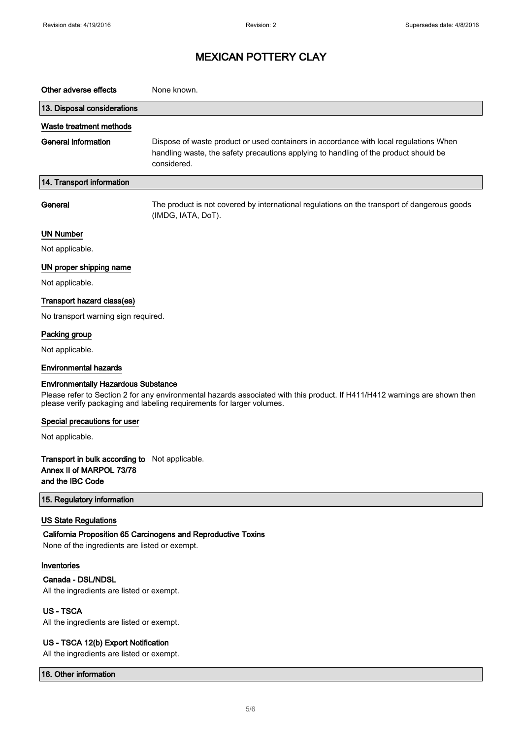| Other adverse effects                                                                          | None known.                                                                                                                                                                                         |
|------------------------------------------------------------------------------------------------|-----------------------------------------------------------------------------------------------------------------------------------------------------------------------------------------------------|
| 13. Disposal considerations                                                                    |                                                                                                                                                                                                     |
| Waste treatment methods                                                                        |                                                                                                                                                                                                     |
| <b>General information</b>                                                                     | Dispose of waste product or used containers in accordance with local regulations When<br>handling waste, the safety precautions applying to handling of the product should be<br>considered.        |
| 14. Transport information                                                                      |                                                                                                                                                                                                     |
| General                                                                                        | The product is not covered by international regulations on the transport of dangerous goods<br>(IMDG, IATA, DoT).                                                                                   |
| <b>UN Number</b>                                                                               |                                                                                                                                                                                                     |
| Not applicable.                                                                                |                                                                                                                                                                                                     |
| UN proper shipping name                                                                        |                                                                                                                                                                                                     |
| Not applicable.                                                                                |                                                                                                                                                                                                     |
| Transport hazard class(es)                                                                     |                                                                                                                                                                                                     |
| No transport warning sign required.                                                            |                                                                                                                                                                                                     |
| Packing group                                                                                  |                                                                                                                                                                                                     |
| Not applicable.                                                                                |                                                                                                                                                                                                     |
| <b>Environmental hazards</b>                                                                   |                                                                                                                                                                                                     |
| <b>Environmentally Hazardous Substance</b>                                                     |                                                                                                                                                                                                     |
|                                                                                                | Please refer to Section 2 for any environmental hazards associated with this product. If H411/H412 warnings are shown then<br>please verify packaging and labeling requirements for larger volumes. |
| Special precautions for user                                                                   |                                                                                                                                                                                                     |
| Not applicable.                                                                                |                                                                                                                                                                                                     |
| Transport in bulk according to Not applicable.<br>Annex II of MARPOL 73/78<br>and the IBC Code |                                                                                                                                                                                                     |
| 15. Regulatory information                                                                     |                                                                                                                                                                                                     |
| <b>US State Regulations</b><br>None of the ingredients are listed or exempt.                   | California Proposition 65 Carcinogens and Reproductive Toxins                                                                                                                                       |
| Inventories<br>Canada - DSL/NDSL<br>All the ingredients are listed or exempt.                  |                                                                                                                                                                                                     |
| <b>US-TSCA</b><br>All the ingredients are listed or exempt.                                    |                                                                                                                                                                                                     |
| US - TSCA 12(b) Export Notification                                                            |                                                                                                                                                                                                     |

All the ingredients are listed or exempt.

16. Other information